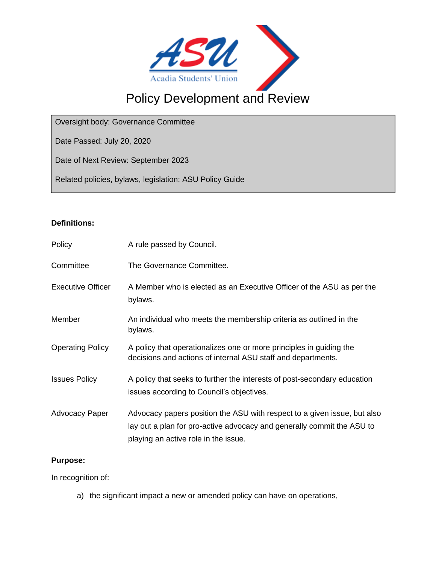

# Policy Development and Review

Oversight body: Governance Committee

Date Passed: July 20, 2020

Date of Next Review: September 2023

Related policies, bylaws, legislation: ASU Policy Guide

## **Definitions:**

| Policy                   | A rule passed by Council.                                                                                                                                                                  |
|--------------------------|--------------------------------------------------------------------------------------------------------------------------------------------------------------------------------------------|
| Committee                | The Governance Committee.                                                                                                                                                                  |
| <b>Executive Officer</b> | A Member who is elected as an Executive Officer of the ASU as per the<br>bylaws.                                                                                                           |
| Member                   | An individual who meets the membership criteria as outlined in the<br>bylaws.                                                                                                              |
| <b>Operating Policy</b>  | A policy that operationalizes one or more principles in guiding the<br>decisions and actions of internal ASU staff and departments.                                                        |
| <b>Issues Policy</b>     | A policy that seeks to further the interests of post-secondary education<br>issues according to Council's objectives.                                                                      |
| <b>Advocacy Paper</b>    | Advocacy papers position the ASU with respect to a given issue, but also<br>lay out a plan for pro-active advocacy and generally commit the ASU to<br>playing an active role in the issue. |

# **Purpose:**

In recognition of:

a) the significant impact a new or amended policy can have on operations,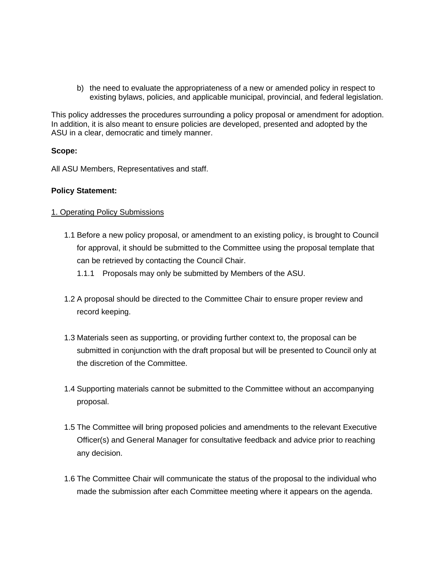b) the need to evaluate the appropriateness of a new or amended policy in respect to existing bylaws, policies, and applicable municipal, provincial, and federal legislation.

This policy addresses the procedures surrounding a policy proposal or amendment for adoption. In addition, it is also meant to ensure policies are developed, presented and adopted by the ASU in a clear, democratic and timely manner.

### **Scope:**

All ASU Members, Representatives and staff.

#### **Policy Statement:**

#### 1. Operating Policy Submissions

- 1.1 Before a new policy proposal, or amendment to an existing policy, is brought to Council for approval, it should be submitted to the Committee using the proposal template that can be retrieved by contacting the Council Chair.
	- 1.1.1 Proposals may only be submitted by Members of the ASU.
- 1.2 A proposal should be directed to the Committee Chair to ensure proper review and record keeping.
- 1.3 Materials seen as supporting, or providing further context to, the proposal can be submitted in conjunction with the draft proposal but will be presented to Council only at the discretion of the Committee.
- 1.4 Supporting materials cannot be submitted to the Committee without an accompanying proposal.
- 1.5 The Committee will bring proposed policies and amendments to the relevant Executive Officer(s) and General Manager for consultative feedback and advice prior to reaching any decision.
- 1.6 The Committee Chair will communicate the status of the proposal to the individual who made the submission after each Committee meeting where it appears on the agenda.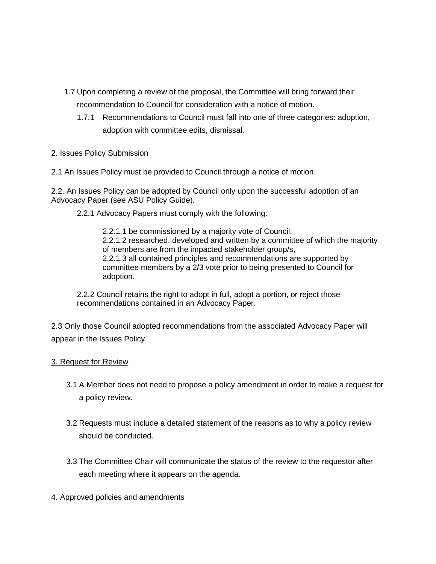- 1.7 Upon completing a review of the proposal, the Committee will bring forward their recommendation to Council for consideration with a notice of motion.
	- 1.7.1 Recommendations to Council must fall into one of three categories: adoption, adoption with committee edits, dismissal.

### 2. Issues Policy Submission

2.1 An Issues Policy must be provided to Council through a notice of motion.

2.2. An Issues Policy can be adopted by Council only upon the successful adoption of an Advocacy Paper (see ASU Policy Guide).

2.2.1 Advocacy Papers must comply with the following:

2.2.1.1 be commissioned by a majority vote of Council, 2.2.1.2 researched, developed and written by a committee of which the majority of members are from the impacted stakeholder group/s, 2.2.1.3 all contained principles and recommendations are supported by committee members by a 2/3 vote prior to being presented to Council for adoption.

2.2.2 Council retains the right to adopt in full, adopt a portion, or reject those recommendations contained in an Advocacy Paper.

2.3 Only those Council adopted recommendations from the associated Advocacy Paper will appear in the Issues Policy.

### 3. Request for Review

- 3.1 A Member does not need to propose a policy amendment in order to make a request for a policy review.
- 3.2 Requests must include a detailed statement of the reasons as to why a policy review should be conducted.
- 3.3 The Committee Chair will communicate the status of the review to the requestor after each meeting where it appears on the agenda.

### 4. Approved policies and amendments